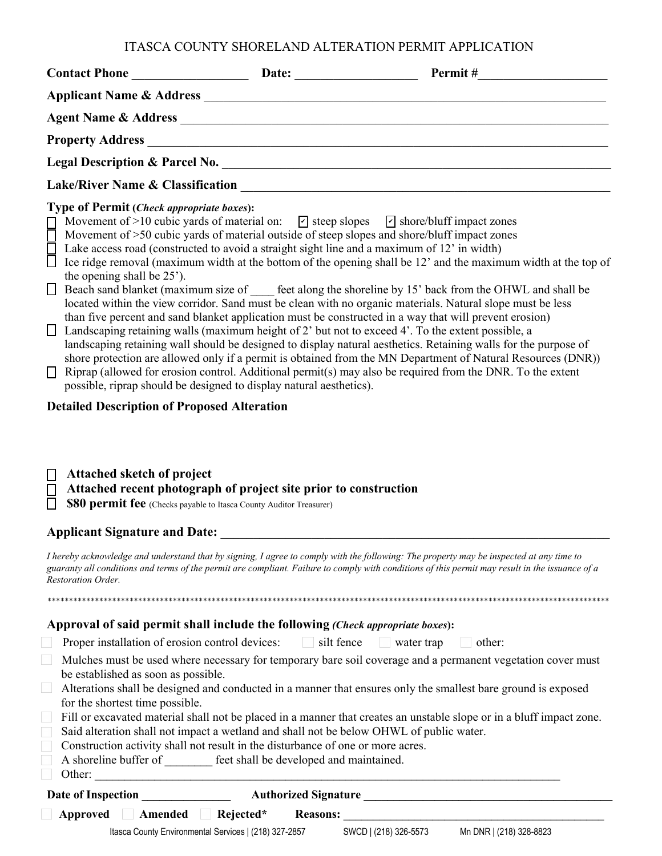# ITASCA COUNTY SHORELAND ALTERATION PERMIT APPLICATION

| $\Box$<br>$\Box$<br>$\Box$<br>Ц<br>$\Box$ | <b>Type of Permit (Check appropriate boxes):</b><br>Lake access road (constructed to avoid a straight sight line and a maximum of 12' in width)<br>the opening shall be 25').<br>possible, riprap should be designed to display natural aesthetics).                                    |                                         | Movement of >10 cubic yards of material on: $\boxed{\triangleright}$ steep slopes $\boxed{\triangleright}$ shore/bluff impact zones<br>Movement of >50 cubic yards of material outside of steep slopes and shore/bluff impact zones<br>Ice ridge removal (maximum width at the bottom of the opening shall be 12' and the maximum width at the top of<br>□ Beach sand blanket (maximum size of ____ feet along the shoreline by 15' back from the OHWL and shall be<br>located within the view corridor. Sand must be clean with no organic materials. Natural slope must be less<br>than five percent and sand blanket application must be constructed in a way that will prevent erosion)<br>Landscaping retaining walls (maximum height of 2' but not to exceed 4'. To the extent possible, a<br>landscaping retaining wall should be designed to display natural aesthetics. Retaining walls for the purpose of<br>shore protection are allowed only if a permit is obtained from the MN Department of Natural Resources (DNR))<br>Riprap (allowed for erosion control. Additional permit(s) may also be required from the DNR. To the extent |
|-------------------------------------------|-----------------------------------------------------------------------------------------------------------------------------------------------------------------------------------------------------------------------------------------------------------------------------------------|-----------------------------------------|---------------------------------------------------------------------------------------------------------------------------------------------------------------------------------------------------------------------------------------------------------------------------------------------------------------------------------------------------------------------------------------------------------------------------------------------------------------------------------------------------------------------------------------------------------------------------------------------------------------------------------------------------------------------------------------------------------------------------------------------------------------------------------------------------------------------------------------------------------------------------------------------------------------------------------------------------------------------------------------------------------------------------------------------------------------------------------------------------------------------------------------------------|
| $\Box$                                    | <b>Detailed Description of Proposed Alteration</b><br><b>Attached sketch of project</b><br>Attached recent photograph of project site prior to construction<br>\$80 permit fee (Checks payable to Itasca County Auditor Treasurer)                                                      |                                         |                                                                                                                                                                                                                                                                                                                                                                                                                                                                                                                                                                                                                                                                                                                                                                                                                                                                                                                                                                                                                                                                                                                                                   |
|                                           | <b>Applicant Signature and Date:</b>                                                                                                                                                                                                                                                    |                                         |                                                                                                                                                                                                                                                                                                                                                                                                                                                                                                                                                                                                                                                                                                                                                                                                                                                                                                                                                                                                                                                                                                                                                   |
|                                           | <b>Restoration Order.</b>                                                                                                                                                                                                                                                               |                                         | I hereby acknowledge and understand that by signing, I agree to comply with the following: The property may be inspected at any time to<br>guaranty all conditions and terms of the permit are compliant. Failure to comply with conditions of this permit may result in the issuance of a                                                                                                                                                                                                                                                                                                                                                                                                                                                                                                                                                                                                                                                                                                                                                                                                                                                        |
|                                           |                                                                                                                                                                                                                                                                                         |                                         |                                                                                                                                                                                                                                                                                                                                                                                                                                                                                                                                                                                                                                                                                                                                                                                                                                                                                                                                                                                                                                                                                                                                                   |
|                                           | Approval of said permit shall include the following (Check appropriate boxes):<br>Proper installation of erosion control devices:                                                                                                                                                       | $\Box$ silt fence                       | other:<br>water trap<br><b>College</b>                                                                                                                                                                                                                                                                                                                                                                                                                                                                                                                                                                                                                                                                                                                                                                                                                                                                                                                                                                                                                                                                                                            |
|                                           | be established as soon as possible.<br>for the shortest time possible.<br>Said alteration shall not impact a wetland and shall not be below OHWL of public water.<br>Construction activity shall not result in the disturbance of one or more acres.<br>A shoreline buffer of<br>Other: | feet shall be developed and maintained. | Mulches must be used where necessary for temporary bare soil coverage and a permanent vegetation cover must<br>Alterations shall be designed and conducted in a manner that ensures only the smallest bare ground is exposed<br>Fill or excavated material shall not be placed in a manner that creates an unstable slope or in a bluff impact zone.                                                                                                                                                                                                                                                                                                                                                                                                                                                                                                                                                                                                                                                                                                                                                                                              |

| Ither |
|-------|
|       |

| Date of Inspection | <b>Authorized Signature</b> |                                                       |                 |                       |                         |  |
|--------------------|-----------------------------|-------------------------------------------------------|-----------------|-----------------------|-------------------------|--|
| Approved           | Amended                     | Rejected*                                             | <b>Reasons:</b> |                       |                         |  |
|                    |                             | Itasca County Environmental Services   (218) 327-2857 |                 | SWCD   (218) 326-5573 | Mn DNR   (218) 328-8823 |  |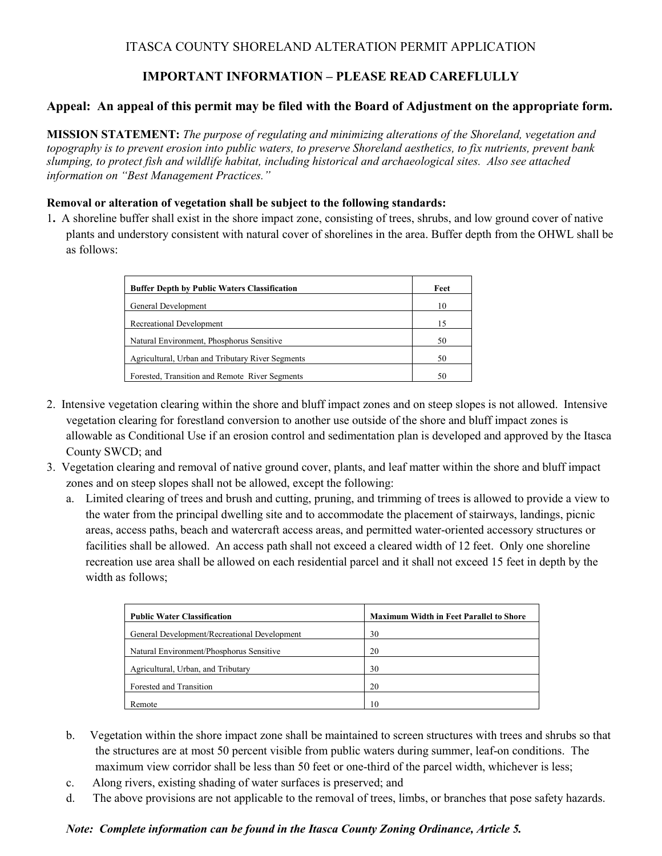# ITASCA COUNTY SHORELAND ALTERATION PERMIT APPLICATION

# **IMPORTANT INFORMATION – PLEASE READ CAREFLULLY**

## **Appeal: An appeal of this permit may be filed with the Board of Adjustment on the appropriate form.**

**MISSION STATEMENT:** *The purpose of regulating and minimizing alterations of the Shoreland, vegetation and topography is to prevent erosion into public waters, to preserve Shoreland aesthetics, to fix nutrients, prevent bank slumping, to protect fish and wildlife habitat, including historical and archaeological sites. Also see attached information on "Best Management Practices."*

#### **Removal or alteration of vegetation shall be subject to the following standards:**

1**.** A shoreline buffer shall exist in the shore impact zone, consisting of trees, shrubs, and low ground cover of native plants and understory consistent with natural cover of shorelines in the area. Buffer depth from the OHWL shall be as follows:

| <b>Buffer Depth by Public Waters Classification</b> | Feet |
|-----------------------------------------------------|------|
| General Development                                 | 10   |
| Recreational Development                            | 15   |
| Natural Environment, Phosphorus Sensitive           | 50   |
| Agricultural, Urban and Tributary River Segments    | 50   |
| Forested, Transition and Remote River Segments      | 50   |

- 2. Intensive vegetation clearing within the shore and bluff impact zones and on steep slopes is not allowed. Intensive vegetation clearing for forestland conversion to another use outside of the shore and bluff impact zones is allowable as Conditional Use if an erosion control and sedimentation plan is developed and approved by the Itasca County SWCD; and
- 3. Vegetation clearing and removal of native ground cover, plants, and leaf matter within the shore and bluff impact zones and on steep slopes shall not be allowed, except the following:
	- a. Limited clearing of trees and brush and cutting, pruning, and trimming of trees is allowed to provide a view to the water from the principal dwelling site and to accommodate the placement of stairways, landings, picnic areas, access paths, beach and watercraft access areas, and permitted water-oriented accessory structures or facilities shall be allowed. An access path shall not exceed a cleared width of 12 feet. Only one shoreline recreation use area shall be allowed on each residential parcel and it shall not exceed 15 feet in depth by the width as follows;

| <b>Public Water Classification</b>           | <b>Maximum Width in Feet Parallel to Shore</b> |
|----------------------------------------------|------------------------------------------------|
| General Development/Recreational Development | 30                                             |
| Natural Environment/Phosphorus Sensitive     | 20                                             |
| Agricultural, Urban, and Tributary           | 30                                             |
| Forested and Transition                      | 20                                             |
| Remote                                       | 10                                             |

- b. Vegetation within the shore impact zone shall be maintained to screen structures with trees and shrubs so that the structures are at most 50 percent visible from public waters during summer, leaf-on conditions. The maximum view corridor shall be less than 50 feet or one-third of the parcel width, whichever is less;
- c. Along rivers, existing shading of water surfaces is preserved; and
- d. The above provisions are not applicable to the removal of trees, limbs, or branches that pose safety hazards.

### *Note: Complete information can be found in the Itasca County Zoning Ordinance, Article 5.*